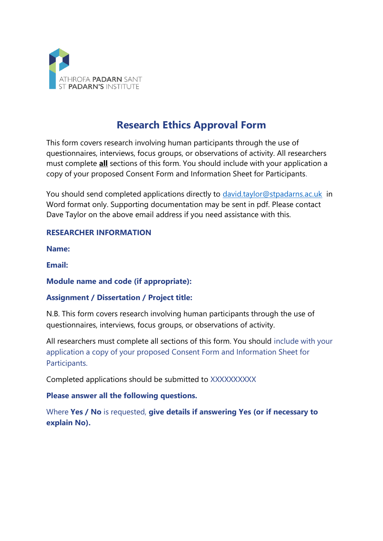

# **Research Ethics Approval Form**

This form covers research involving human participants through the use of questionnaires, interviews, focus groups, or observations of activity. All researchers must complete **all** sections of this form. You should include with your application a copy of your proposed Consent Form and Information Sheet for Participants.

You should send completed applications directly to [david.taylor@stpadarns.ac.uk](mailto:david.taylor@stpadarns.ac.uk) in Word format only. Supporting documentation may be sent in pdf. Please contact Dave Taylor on the above email address if you need assistance with this.

#### **RESEARCHER INFORMATION**

**Name:**

**Email:**

#### **Module name and code (if appropriate):**

#### **Assignment / Dissertation / Project title:**

N.B. This form covers research involving human participants through the use of questionnaires, interviews, focus groups, or observations of activity.

All researchers must complete all sections of this form. You should include with your application a copy of your proposed Consent Form and Information Sheet for Participants.

Completed applications should be submitted to XXXXXXXXXX

#### **Please answer all the following questions.**

Where **Yes / No** is requested, **give details if answering Yes (or if necessary to explain No).**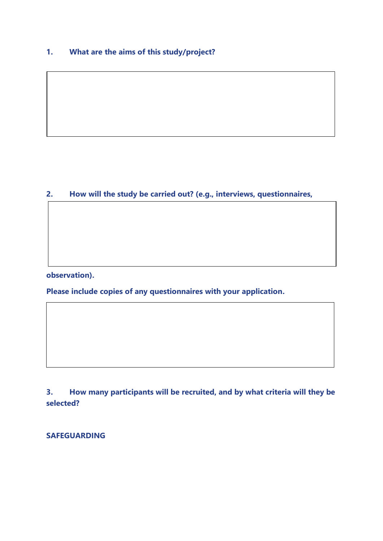### **1. What are the aims of this study/project?**

#### **2. How will the study be carried out? (e.g., interviews, questionnaires,**

**observation).**

**Please include copies of any questionnaires with your application.**

**3. How many participants will be recruited, and by what criteria will they be selected?**

**SAFEGUARDING**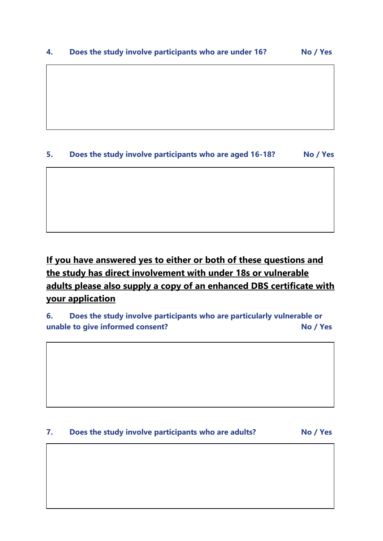## **5. Does the study involve participants who are aged 16-18? No / Yes**

# **If you have answered yes to either or both of these questions and the study has direct involvement with under 18s or vulnerable adults please also supply a copy of an enhanced DBS certificate with your application**

**6. Does the study involve participants who are particularly vulnerable or unable to give informed consent? No / Yes**

#### **7. Does the study involve participants who are adults? No / Yes**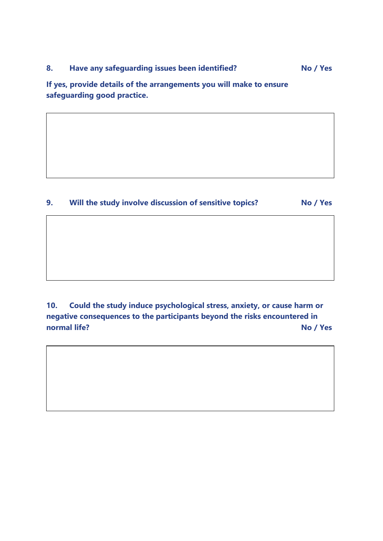**If yes, provide details of the arrangements you will make to ensure safeguarding good practice.**

**9. Will the study involve discussion of sensitive topics? No / Yes**

**10. Could the study induce psychological stress, anxiety, or cause harm or negative consequences to the participants beyond the risks encountered in normal life?** No / Yes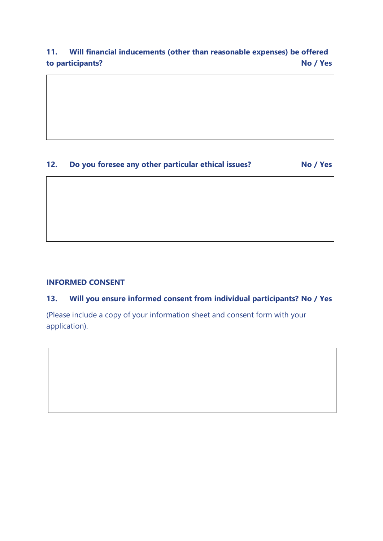## **11. Will financial inducements (other than reasonable expenses) be offered to participants? No / Yes**

## **12. Do you foresee any other particular ethical issues? No / Yes**

#### **INFORMED CONSENT**

#### **13. Will you ensure informed consent from individual participants? No / Yes**

(Please include a copy of your information sheet and consent form with your application).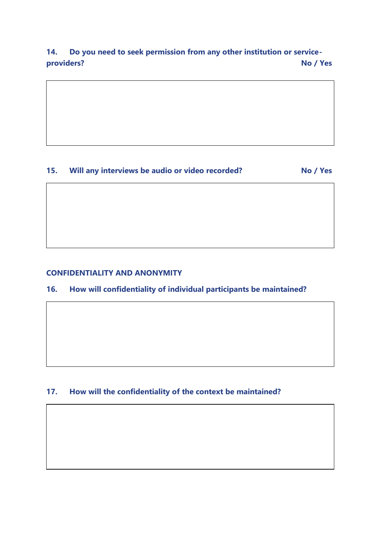## **14. Do you need to seek permission from any other institution or serviceproviders? No / Yes**



## **15. Will any interviews be audio or video recorded? No / Yes**

#### **CONFIDENTIALITY AND ANONYMITY**

#### **16. How will confidentiality of individual participants be maintained?**

#### **17. How will the confidentiality of the context be maintained?**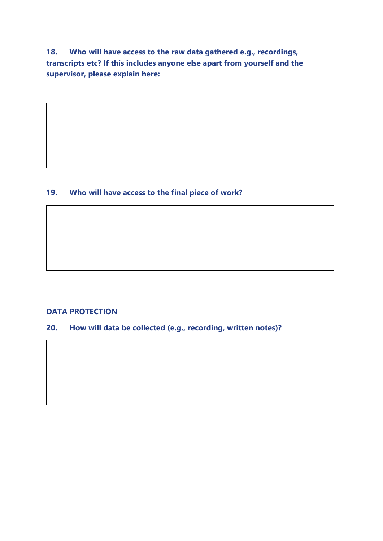**18. Who will have access to the raw data gathered e.g., recordings, transcripts etc? If this includes anyone else apart from yourself and the supervisor, please explain here:**

#### **19. Who will have access to the final piece of work?**

#### **DATA PROTECTION**

**20. How will data be collected (e.g., recording, written notes)?**